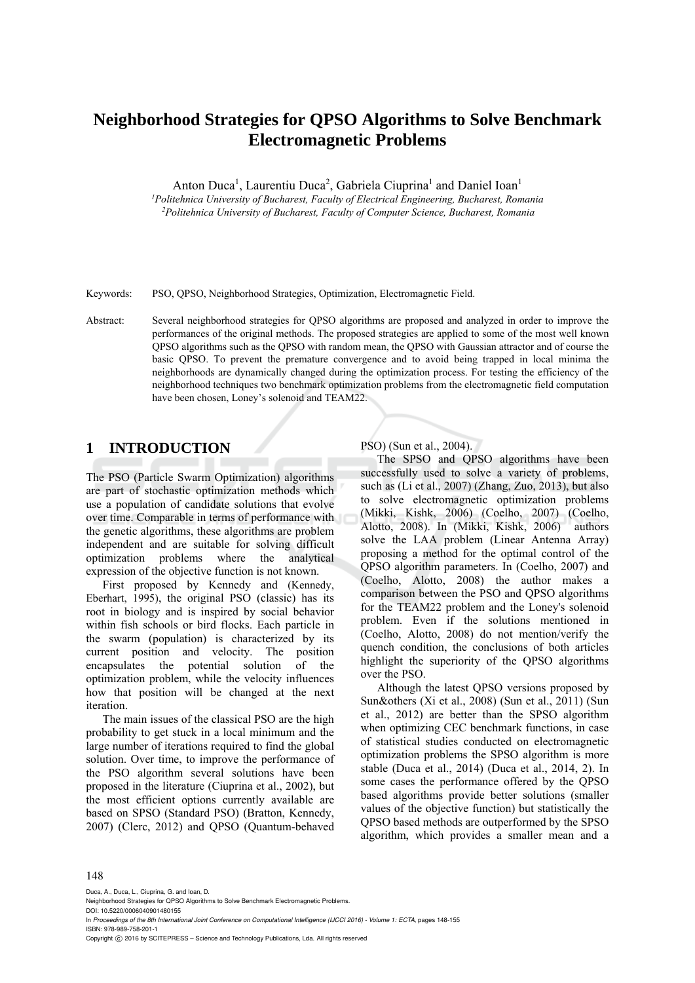# **Neighborhood Strategies for QPSO Algorithms to Solve Benchmark Electromagnetic Problems**

Anton Duca<sup>1</sup>, Laurentiu Duca<sup>2</sup>, Gabriela Ciuprina<sup>1</sup> and Daniel Ioan<sup>1</sup> *1Politehnica University of Bucharest, Faculty of Electrical Engineering, Bucharest, Romania 2Politehnica University of Bucharest, Faculty of Computer Science, Bucharest, Romania* 

Keywords: PSO, QPSO, Neighborhood Strategies, Optimization, Electromagnetic Field.

Abstract: Several neighborhood strategies for QPSO algorithms are proposed and analyzed in order to improve the performances of the original methods. The proposed strategies are applied to some of the most well known QPSO algorithms such as the QPSO with random mean, the QPSO with Gaussian attractor and of course the basic QPSO. To prevent the premature convergence and to avoid being trapped in local minima the neighborhoods are dynamically changed during the optimization process. For testing the efficiency of the neighborhood techniques two benchmark optimization problems from the electromagnetic field computation have been chosen, Loney's solenoid and TEAM22.

### **1 INTRODUCTION**

The PSO (Particle Swarm Optimization) algorithms are part of stochastic optimization methods which use a population of candidate solutions that evolve over time. Comparable in terms of performance with the genetic algorithms, these algorithms are problem independent and are suitable for solving difficult optimization problems where the analytical expression of the objective function is not known.

First proposed by Kennedy and (Kennedy, Eberhart, 1995), the original PSO (classic) has its root in biology and is inspired by social behavior within fish schools or bird flocks. Each particle in the swarm (population) is characterized by its current position and velocity. The position encapsulates the potential solution of the optimization problem, while the velocity influences how that position will be changed at the next iteration.

The main issues of the classical PSO are the high probability to get stuck in a local minimum and the large number of iterations required to find the global solution. Over time, to improve the performance of the PSO algorithm several solutions have been proposed in the literature (Ciuprina et al., 2002), but the most efficient options currently available are based on SPSO (Standard PSO) (Bratton, Kennedy, 2007) (Clerc, 2012) and QPSO (Quantum-behaved

PSO) (Sun et al., 2004).

The SPSO and QPSO algorithms have been successfully used to solve a variety of problems, such as (Li et al., 2007) (Zhang, Zuo, 2013), but also to solve electromagnetic optimization problems (Mikki, Kishk, 2006) (Coelho, 2007) (Coelho, Alotto, 2008). In (Mikki, Kishk, 2006) authors solve the LAA problem (Linear Antenna Array) proposing a method for the optimal control of the QPSO algorithm parameters. In (Coelho, 2007) and (Coelho, Alotto, 2008) the author makes a comparison between the PSO and QPSO algorithms for the TEAM22 problem and the Loney's solenoid problem. Even if the solutions mentioned in (Coelho, Alotto, 2008) do not mention/verify the quench condition, the conclusions of both articles highlight the superiority of the QPSO algorithms over the PSO.

Although the latest QPSO versions proposed by Sun&others (Xi et al., 2008) (Sun et al., 2011) (Sun et al., 2012) are better than the SPSO algorithm when optimizing CEC benchmark functions, in case of statistical studies conducted on electromagnetic optimization problems the SPSO algorithm is more stable (Duca et al., 2014) (Duca et al., 2014, 2). In some cases the performance offered by the QPSO based algorithms provide better solutions (smaller values of the objective function) but statistically the QPSO based methods are outperformed by the SPSO algorithm, which provides a smaller mean and a

#### 148

Duca, A., Duca, L., Ciuprina, G. and Ioan, D.

DOI: 10.5220/0006040901480155 In *Proceedings of the 8th International Joint Conference on Computational Intelligence (IJCCI 2016) - Volume 1: ECTA*, pages 148-155

ISBN: 978-989-758-201-1

Copyright (C) 2016 by SCITEPRESS - Science and Technology Publications, Lda. All rights reserved

Neighborhood Strategies for QPSO Algorithms to Solve Benchmark Electromagnetic Problems.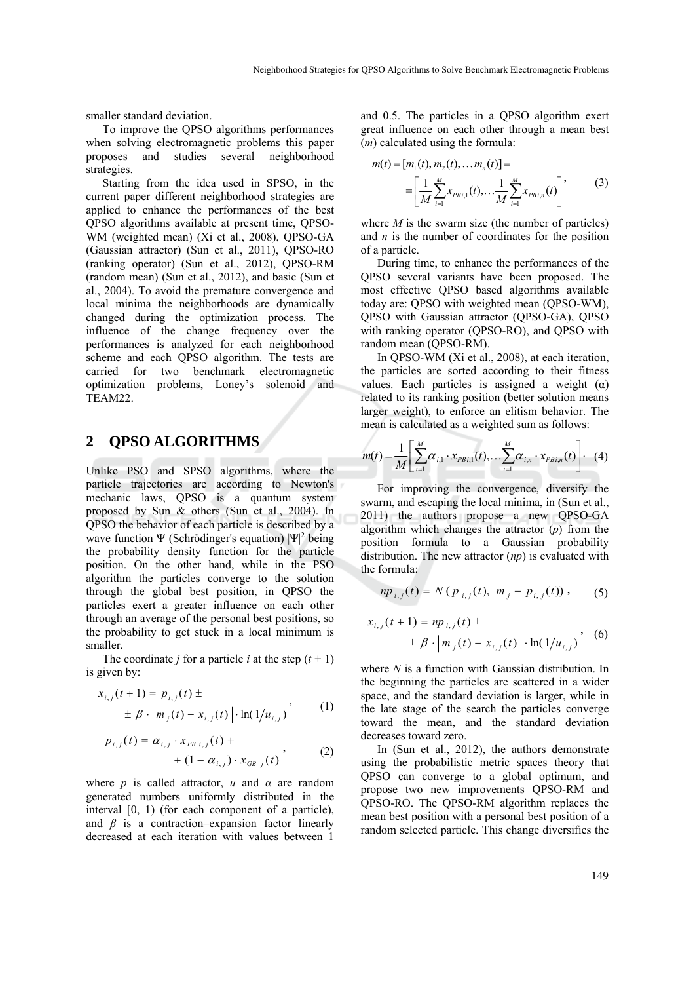smaller standard deviation.

To improve the QPSO algorithms performances when solving electromagnetic problems this paper proposes and studies several neighborhood strategies.

Starting from the idea used in SPSO, in the current paper different neighborhood strategies are applied to enhance the performances of the best QPSO algorithms available at present time, QPSO-WM (weighted mean) (Xi et al., 2008), QPSO-GA (Gaussian attractor) (Sun et al., 2011), QPSO-RO (ranking operator) (Sun et al., 2012), QPSO-RM (random mean) (Sun et al., 2012), and basic (Sun et al., 2004). To avoid the premature convergence and local minima the neighborhoods are dynamically changed during the optimization process. The influence of the change frequency over the performances is analyzed for each neighborhood scheme and each QPSO algorithm. The tests are carried for two benchmark electromagnetic optimization problems, Loney's solenoid and TEAM22.

### **2 QPSO ALGORITHMS**

Unlike PSO and SPSO algorithms, where the particle trajectories are according to Newton's mechanic laws, QPSO is a quantum system proposed by Sun & others (Sun et al., 2004). In QPSO the behavior of each particle is described by a wave function  $\Psi$  (Schrödinger's equation)  $|\Psi|^2$  being the probability density function for the particle position. On the other hand, while in the PSO algorithm the particles converge to the solution through the global best position, in QPSO the particles exert a greater influence on each other through an average of the personal best positions, so the probability to get stuck in a local minimum is smaller.

The coordinate *j* for a particle *i* at the step  $(t + 1)$ is given by:

$$
x_{i,j}(t+1) = p_{i,j}(t) \pm \n\pm \beta \cdot |m_j(t) - x_{i,j}(t)| \cdot \ln(1/u_{i,j})
$$
\n(1)

$$
p_{i,j}(t) = \alpha_{i,j} \cdot x_{PB \ i,j}(t) +
$$
  
+  $(1 - \alpha_{i,j}) \cdot x_{GB \ j}(t)$ , (2)

where *p* is called attractor, *u* and *α* are random generated numbers uniformly distributed in the interval [0, 1) (for each component of a particle), and  $\beta$  is a contraction–expansion factor linearly decreased at each iteration with values between 1

and 0.5. The particles in a QPSO algorithm exert great influence on each other through a mean best (*m*) calculated using the formula:

$$
m(t) = [m_1(t), m_2(t), \dots m_n(t)] =
$$
  
= 
$$
\left[ \frac{1}{M} \sum_{i=1}^{M} x_{PBi,1}(t), \dots \frac{1}{M} \sum_{i=1}^{M} x_{PBi,n}(t) \right],
$$
 (3)

where  $M$  is the swarm size (the number of particles) and *n* is the number of coordinates for the position of a particle.

During time, to enhance the performances of the QPSO several variants have been proposed. The most effective QPSO based algorithms available today are: QPSO with weighted mean (QPSO-WM), QPSO with Gaussian attractor (QPSO-GA), QPSO with ranking operator (QPSO-RO), and QPSO with random mean (QPSO-RM).

In QPSO-WM (Xi et al., 2008), at each iteration, the particles are sorted according to their fitness values. Each particles is assigned a weight  $(\alpha)$ related to its ranking position (better solution means larger weight), to enforce an elitism behavior. The mean is calculated as a weighted sum as follows:

$$
m(t) = \frac{1}{M} \left[ \sum_{i=1}^{M} \alpha_{i,1} \cdot x_{PBi,1}(t), \dots \sum_{i=1}^{M} \alpha_{i,n} \cdot x_{PBi,n}(t) \right]. \tag{4}
$$

For improving the convergence, diversify the swarm, and escaping the local minima, in (Sun et al., 2011) the authors propose a new QPSO-GA algorithm which changes the attractor (*p*) from the position formula to a Gaussian probability distribution. The new attractor (*np*) is evaluated with the formula:

$$
np_{i,j}(t) = N(p_{i,j}(t), m_j - p_{i,j}(t)), \qquad (5)
$$

$$
x_{i,j}(t+1) = np_{i,j}(t) \pm \frac{}{}(0) \pm \beta \cdot |m_j(t) - x_{i,j}(t)| \cdot \ln(1/u_{i,j})
$$
 (6)

where *N* is a function with Gaussian distribution. In the beginning the particles are scattered in a wider space, and the standard deviation is larger, while in the late stage of the search the particles converge toward the mean, and the standard deviation decreases toward zero.

In (Sun et al., 2012), the authors demonstrate using the probabilistic metric spaces theory that QPSO can converge to a global optimum, and propose two new improvements QPSO-RM and QPSO-RO. The QPSO-RM algorithm replaces the mean best position with a personal best position of a random selected particle. This change diversifies the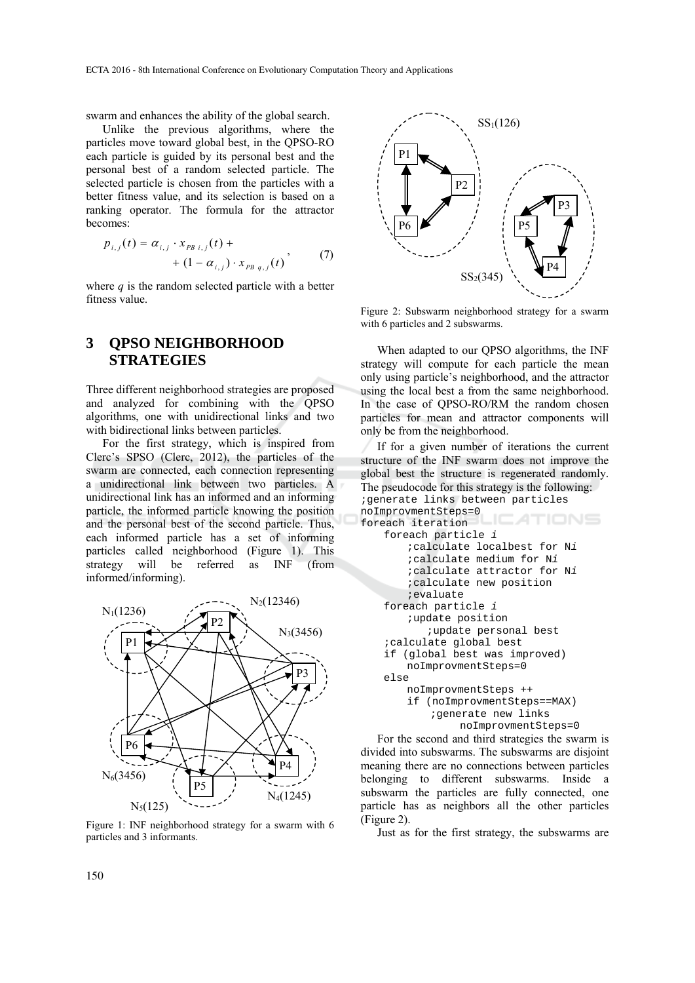swarm and enhances the ability of the global search.

Unlike the previous algorithms, where the particles move toward global best, in the QPSO-RO each particle is guided by its personal best and the personal best of a random selected particle. The selected particle is chosen from the particles with a better fitness value, and its selection is based on a ranking operator. The formula for the attractor becomes:

$$
p_{i,j}(t) = \alpha_{i,j} \cdot x_{PB \ i,j}(t) +
$$
  
+  $(1 - \alpha_{i,j}) \cdot x_{PB \ q,j}(t)$ , (7)

where  $q$  is the random selected particle with a better fitness value.

## **3 QPSO NEIGHBORHOOD STRATEGIES**

Three different neighborhood strategies are proposed and analyzed for combining with the QPSO algorithms, one with unidirectional links and two with bidirectional links between particles.

For the first strategy, which is inspired from Clerc's SPSO (Clerc, 2012), the particles of the swarm are connected, each connection representing a unidirectional link between two particles. A unidirectional link has an informed and an informing particle, the informed particle knowing the position and the personal best of the second particle. Thus, each informed particle has a set of informing particles called neighborhood (Figure 1). This strategy will be referred as INF (from informed/informing).



Figure 1: INF neighborhood strategy for a swarm with 6 particles and 3 informants.



Figure 2: Subswarm neighborhood strategy for a swarm with 6 particles and 2 subswarms.

When adapted to our QPSO algorithms, the INF strategy will compute for each particle the mean only using particle's neighborhood, and the attractor using the local best a from the same neighborhood. In the case of QPSO-RO/RM the random chosen particles for mean and attractor components will only be from the neighborhood.

If for a given number of iterations the current structure of the INF swarm does not improve the global best the structure is regenerated randomly. The pseudocode for this strategy is the following: ;generate links between particles noImprovmentSteps=0 TIONS foreach iteration foreach particle *i* ;calculate localbest for N*i*  ;calculate medium for N*i*  ;calculate attractor for N*i*  ;calculate new position ;evaluate foreach particle *i* ;update position ;update personal best ;calculate global best if (global best was improved) noImprovmentSteps=0 else noImprovmentSteps ++ if (noImprovmentSteps==MAX) ;generate new links noImprovmentSteps=0

For the second and third strategies the swarm is divided into subswarms. The subswarms are disjoint meaning there are no connections between particles belonging to different subswarms. Inside a subswarm the particles are fully connected, one particle has as neighbors all the other particles (Figure 2).

Just as for the first strategy, the subswarms are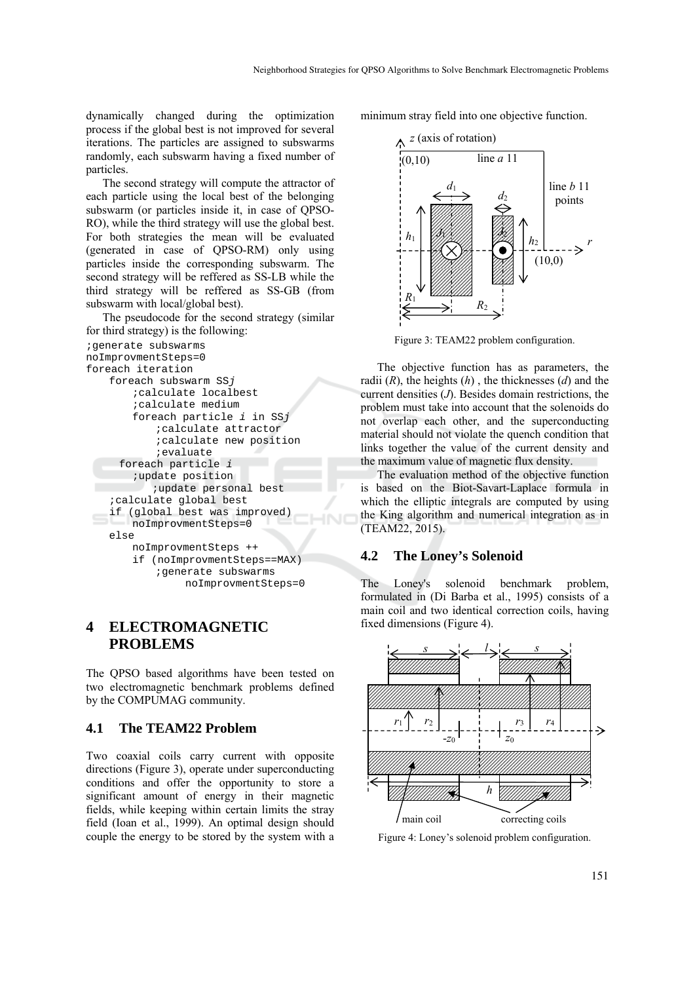dynamically changed during the optimization process if the global best is not improved for several iterations. The particles are assigned to subswarms randomly, each subswarm having a fixed number of particles.

The second strategy will compute the attractor of each particle using the local best of the belonging subswarm (or particles inside it, in case of QPSO-RO), while the third strategy will use the global best. For both strategies the mean will be evaluated (generated in case of QPSO-RM) only using particles inside the corresponding subswarm. The second strategy will be reffered as SS-LB while the third strategy will be reffered as SS-GB (from subswarm with local/global best).

The pseudocode for the second strategy (similar for third strategy) is the following:

```
;generate subswarms 
noImprovmentSteps=0 
foreach iteration 
     foreach subswarm SSj
         ;calculate localbest
         ;calculate medium
         foreach particle i in SSj
             ;calculate attractor
             ;calculate new position
             ;evaluate 
     foreach particle i 
         ;update position 
           ;update personal best 
     ;calculate global best 
     if (global best was improved) 
         noImprovmentSteps=0 
     else 
        noImprovmentSteps ++ 
         if (noImprovmentSteps==MAX) 
             ;generate subswarms 
                 noImprovmentSteps=0
```
### **4 ELECTROMAGNETIC PROBLEMS**

The QPSO based algorithms have been tested on two electromagnetic benchmark problems defined by the COMPUMAG community.

#### **4.1 The TEAM22 Problem**

Two coaxial coils carry current with opposite directions (Figure 3), operate under superconducting conditions and offer the opportunity to store a significant amount of energy in their magnetic fields, while keeping within certain limits the stray field (Ioan et al., 1999). An optimal design should couple the energy to be stored by the system with a minimum stray field into one objective function.



Figure 3: TEAM22 problem configuration.

The objective function has as parameters, the radii (*R*), the heights (*h*) , the thicknesses (*d*) and the current densities (*J*). Besides domain restrictions, the problem must take into account that the solenoids do not overlap each other, and the superconducting material should not violate the quench condition that links together the value of the current density and the maximum value of magnetic flux density.

The evaluation method of the objective function is based on the Biot-Savart-Laplace formula in which the elliptic integrals are computed by using the King algorithm and numerical integration as in (TEAM22, 2015).

#### **4.2 The Loney's Solenoid**

The Loney's solenoid benchmark problem, formulated in (Di Barba et al., 1995) consists of a main coil and two identical correction coils, having fixed dimensions (Figure 4).



Figure 4: Loney's solenoid problem configuration.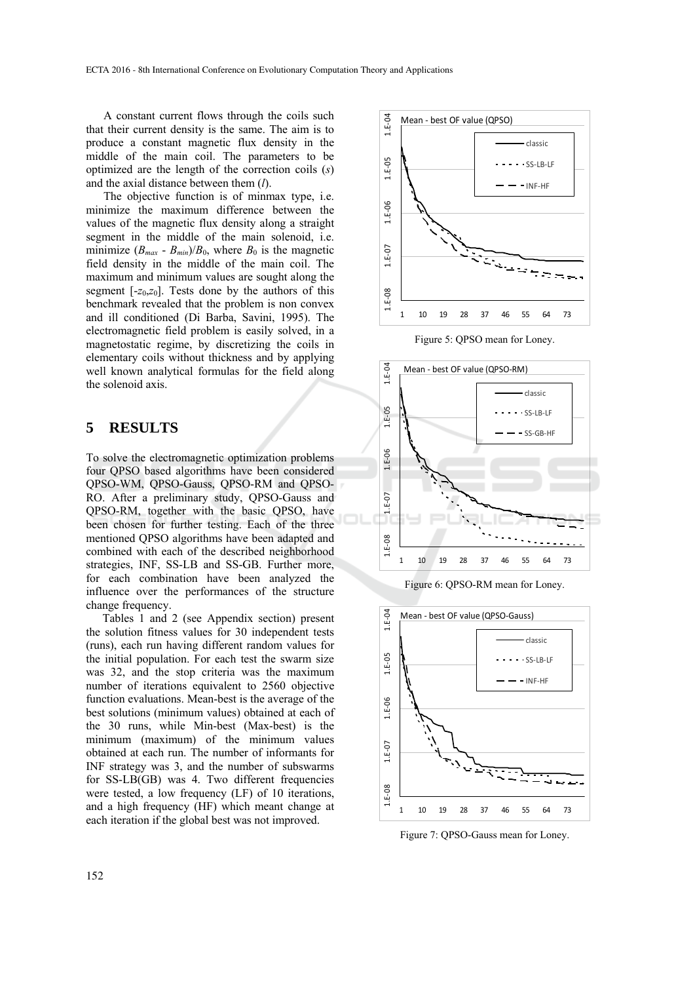A constant current flows through the coils such that their current density is the same. The aim is to produce a constant magnetic flux density in the middle of the main coil. The parameters to be optimized are the length of the correction coils (*s*) and the axial distance between them (*l*).

The objective function is of minmax type, i.e. minimize the maximum difference between the values of the magnetic flux density along a straight segment in the middle of the main solenoid, i.e. minimize  $(B_{max} - B_{min})/B_0$ , where  $B_0$  is the magnetic field density in the middle of the main coil. The maximum and minimum values are sought along the segment  $[-z_0, z_0]$ . Tests done by the authors of this benchmark revealed that the problem is non convex and ill conditioned (Di Barba, Savini, 1995). The electromagnetic field problem is easily solved, in a magnetostatic regime, by discretizing the coils in elementary coils without thickness and by applying well known analytical formulas for the field along the solenoid axis.

### **5 RESULTS**

To solve the electromagnetic optimization problems four QPSO based algorithms have been considered QPSO-WM, QPSO-Gauss, QPSO-RM and QPSO-RO. After a preliminary study, QPSO-Gauss and QPSO-RM, together with the basic QPSO, have been chosen for further testing. Each of the three mentioned QPSO algorithms have been adapted and combined with each of the described neighborhood strategies, INF, SS-LB and SS-GB. Further more, for each combination have been analyzed the influence over the performances of the structure change frequency.

Tables 1 and 2 (see Appendix section) present the solution fitness values for 30 independent tests (runs), each run having different random values for the initial population. For each test the swarm size was 32, and the stop criteria was the maximum number of iterations equivalent to 2560 objective function evaluations. Mean-best is the average of the best solutions (minimum values) obtained at each of the 30 runs, while Min-best (Max-best) is the minimum (maximum) of the minimum values obtained at each run. The number of informants for INF strategy was 3, and the number of subswarms for SS-LB(GB) was 4. Two different frequencies were tested, a low frequency (LF) of 10 iterations, and a high frequency (HF) which meant change at each iteration if the global best was not improved.



Figure 5: QPSO mean for Loney.



Figure 6: QPSO-RM mean for Loney.



Figure 7: QPSO-Gauss mean for Loney.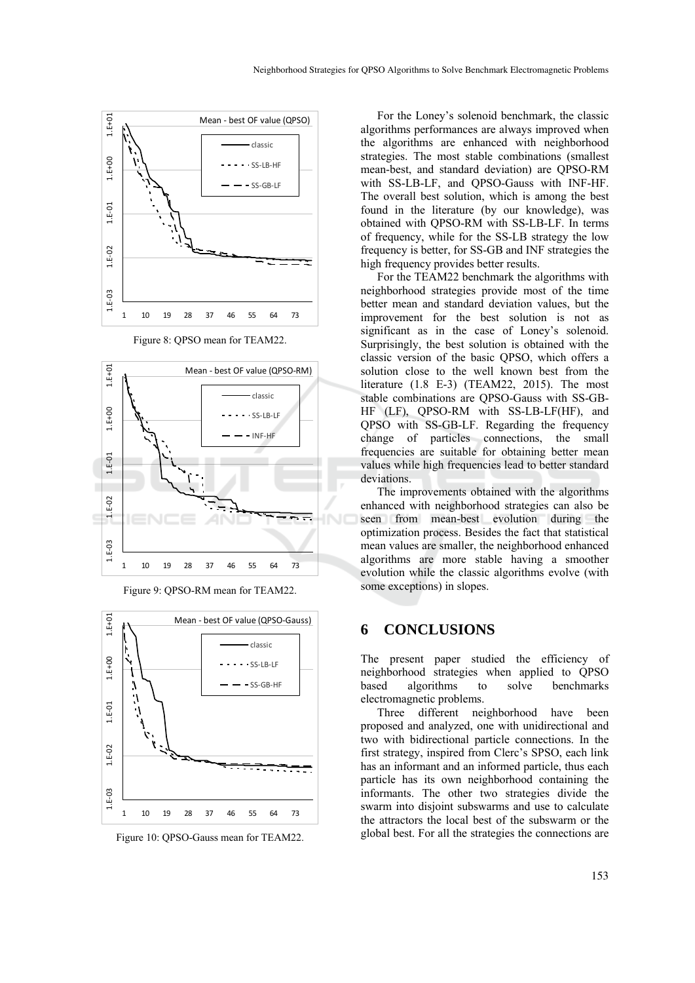

Figure 8: QPSO mean for TEAM22.





Figure 9: QPSO-RM mean for TEAM22.

Figure 10: QPSO-Gauss mean for TEAM22.

For the Loney's solenoid benchmark, the classic algorithms performances are always improved when the algorithms are enhanced with neighborhood strategies. The most stable combinations (smallest mean-best, and standard deviation) are QPSO-RM with SS-LB-LF, and QPSO-Gauss with INF-HF. The overall best solution, which is among the best found in the literature (by our knowledge), was obtained with QPSO-RM with SS-LB-LF. In terms of frequency, while for the SS-LB strategy the low frequency is better, for SS-GB and INF strategies the high frequency provides better results.

For the TEAM22 benchmark the algorithms with neighborhood strategies provide most of the time better mean and standard deviation values, but the improvement for the best solution is not as significant as in the case of Loney's solenoid. Surprisingly, the best solution is obtained with the classic version of the basic QPSO, which offers a solution close to the well known best from the literature (1.8 E-3) (TEAM22, 2015). The most stable combinations are QPSO-Gauss with SS-GB-HF (LF), QPSO-RM with SS-LB-LF(HF), and QPSO with SS-GB-LF. Regarding the frequency change of particles connections, the small frequencies are suitable for obtaining better mean values while high frequencies lead to better standard deviations.

The improvements obtained with the algorithms enhanced with neighborhood strategies can also be seen from mean-best evolution during the optimization process. Besides the fact that statistical mean values are smaller, the neighborhood enhanced algorithms are more stable having a smoother evolution while the classic algorithms evolve (with some exceptions) in slopes.

### **6 CONCLUSIONS**

The present paper studied the efficiency of neighborhood strategies when applied to QPSO based algorithms to solve benchmarks electromagnetic problems.

Three different neighborhood have been proposed and analyzed, one with unidirectional and two with bidirectional particle connections. In the first strategy, inspired from Clerc's SPSO, each link has an informant and an informed particle, thus each particle has its own neighborhood containing the informants. The other two strategies divide the swarm into disjoint subswarms and use to calculate the attractors the local best of the subswarm or the global best. For all the strategies the connections are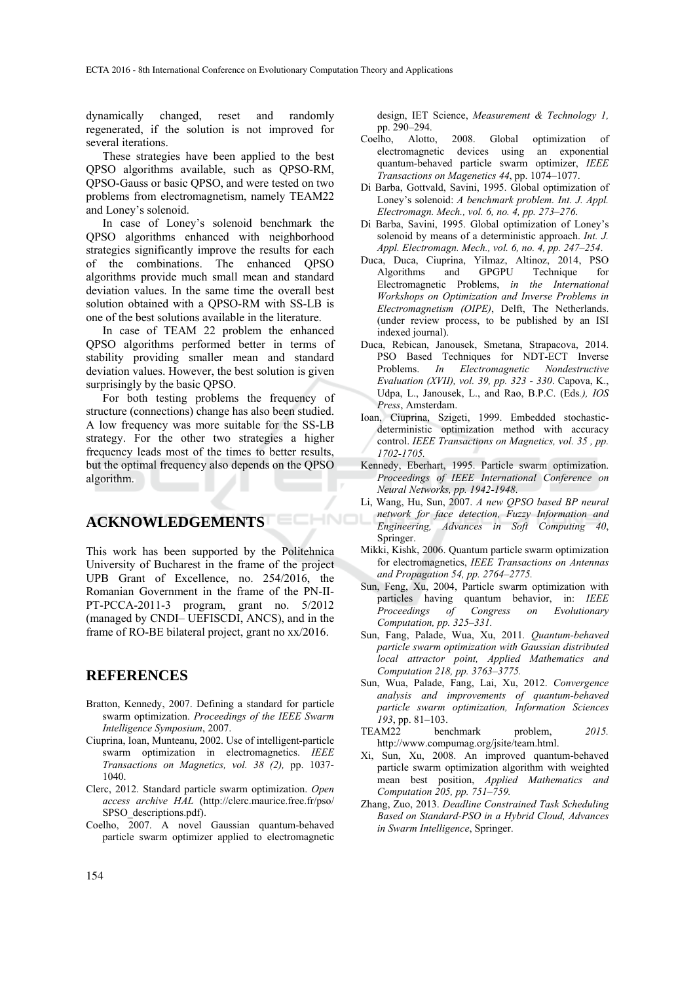dynamically changed, reset and randomly regenerated, if the solution is not improved for several iterations.

These strategies have been applied to the best QPSO algorithms available, such as QPSO-RM, QPSO-Gauss or basic QPSO, and were tested on two problems from electromagnetism, namely TEAM22 and Loney's solenoid.

In case of Loney's solenoid benchmark the QPSO algorithms enhanced with neighborhood strategies significantly improve the results for each of the combinations. The enhanced QPSO algorithms provide much small mean and standard deviation values. In the same time the overall best solution obtained with a QPSO-RM with SS-LB is one of the best solutions available in the literature.

In case of TEAM 22 problem the enhanced QPSO algorithms performed better in terms of stability providing smaller mean and standard deviation values. However, the best solution is given surprisingly by the basic QPSO.

For both testing problems the frequency of structure (connections) change has also been studied. A low frequency was more suitable for the SS-LB strategy. For the other two strategies a higher frequency leads most of the times to better results, but the optimal frequency also depends on the QPSO algorithm.

### **ACKNOWLEDGEMENTS**

This work has been supported by the Politehnica University of Bucharest in the frame of the project UPB Grant of Excellence, no. 254/2016, the Romanian Government in the frame of the PN-II-PT-PCCA-2011-3 program, grant no. 5/2012 (managed by CNDI– UEFISCDI, ANCS), and in the frame of RO-BE bilateral project, grant no xx/2016.

ECHNO

#### **REFERENCES**

- Bratton, Kennedy, 2007. Defining a standard for particle swarm optimization. *Proceedings of the IEEE Swarm Intelligence Symposium*, 2007.
- Ciuprina, Ioan, Munteanu, 2002. Use of intelligent-particle swarm optimization in electromagnetics. *IEEE Transactions on Magnetics, vol. 38 (2),* pp. 1037- 1040.
- Clerc, 2012. Standard particle swarm optimization. *Open access archive HAL* (http://clerc.maurice.free.fr/pso/ SPSO\_descriptions.pdf).
- Coelho, 2007. A novel Gaussian quantum-behaved particle swarm optimizer applied to electromagnetic

design, IET Science, *Measurement & Technology 1,* pp. 290–294.

- Coelho, Alotto, 2008. Global optimization of electromagnetic devices using an exponential quantum-behaved particle swarm optimizer, *IEEE Transactions on Magenetics 44*, pp. 1074–1077.
- Di Barba, Gottvald, Savini, 1995. Global optimization of Loney's solenoid: *A benchmark problem. Int. J. Appl. Electromagn. Mech., vol. 6, no. 4, pp. 273–276*.
- Di Barba, Savini, 1995. Global optimization of Loney's solenoid by means of a deterministic approach. *Int. J. Appl. Electromagn. Mech., vol. 6, no. 4, pp. 247–254*.
- Duca, Duca, Ciuprina, Yilmaz, Altinoz, 2014, PSO Algorithms and GPGPU Technique for Electromagnetic Problems, *in the International Workshops on Optimization and Inverse Problems in Electromagnetism (OIPE)*, Delft, The Netherlands. (under review process, to be published by an ISI indexed journal).
- Duca, Rebican, Janousek, Smetana, Strapacova, 2014. PSO Based Techniques for NDT-ECT Inverse Problems. *In Electromagnetic Nondestructive Evaluation (XVII), vol. 39, pp. 323 - 330*. Capova, K., Udpa, L., Janousek, L., and Rao, B.P.C. (Eds*.), IOS Press*, Amsterdam.
- Ioan, Ciuprina, Szigeti, 1999. Embedded stochasticdeterministic optimization method with accuracy control. *IEEE Transactions on Magnetics, vol. 35 , pp. 1702-1705.*
- Kennedy, Eberhart, 1995. Particle swarm optimization. *Proceedings of IEEE International Conference on Neural Networks, pp. 1942-1948*.
- Li, Wang, Hu, Sun, 2007. *A new QPSO based BP neural network for face detection, Fuzzy Information and Engineering, Advances in Soft Computing 40*, Springer.
- Mikki, Kishk, 2006. Quantum particle swarm optimization for electromagnetics, *IEEE Transactions on Antennas and Propagation 54, pp. 2764–2775.*
- Sun, Feng, Xu, 2004, Particle swarm optimization with particles having quantum behavior, in: *IEEE Proceedings of Congress on Evolutionary Computation, pp. 325–331.*
- Sun, Fang, Palade, Wua, Xu, 2011*. Quantum-behaved particle swarm optimization with Gaussian distributed local attractor point, Applied Mathematics and Computation 218, pp. 3763–3775.*
- Sun, Wua, Palade, Fang, Lai, Xu, 2012. *Convergence analysis and improvements of quantum-behaved particle swarm optimization, Information Sciences 193*, pp. 81–103.
- TEAM22 benchmark problem, *2015.* http://www.compumag.org/jsite/team.html.
- Xi, Sun, Xu, 2008. An improved quantum-behaved particle swarm optimization algorithm with weighted mean best position, *Applied Mathematics and Computation 205, pp. 751–759.*
- Zhang, Zuo, 2013. *Deadline Constrained Task Scheduling Based on Standard-PSO in a Hybrid Cloud, Advances in Swarm Intelligence*, Springer.